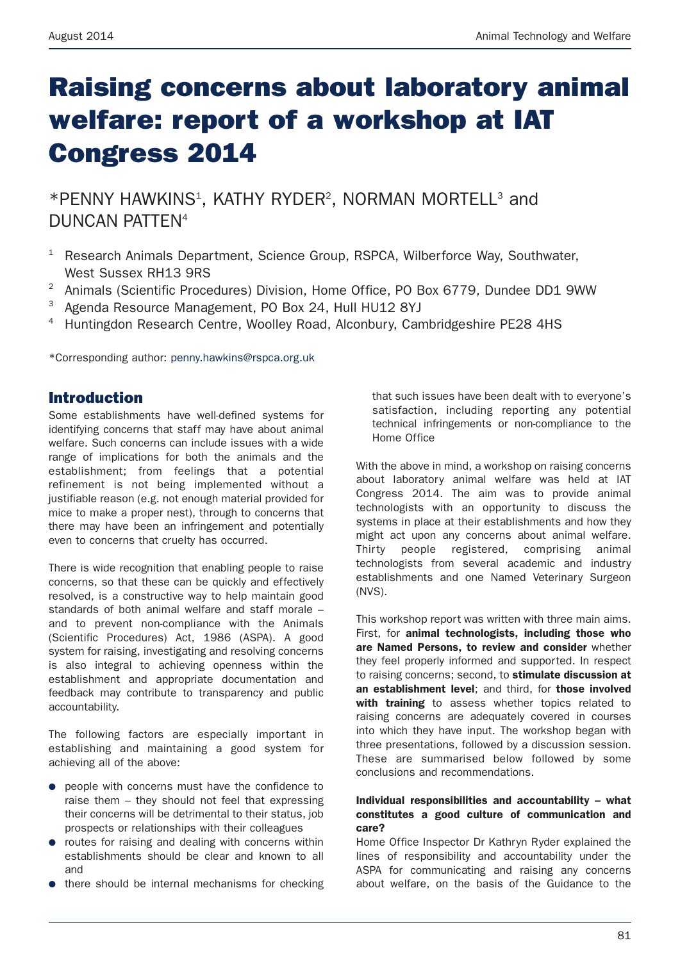# **Raising concerns about laboratory animal welfare: report of a workshop at IAT Congress 2014**

\*PENNY HAWKINS<sup>1</sup>, KATHY RYDER<sup>2</sup>, NORMAN MORTELL<sup>3</sup> and DUNCAN PATTEN4

- <sup>1</sup> Research Animals Department, Science Group, RSPCA, Wilberforce Way, Southwater, West Sussex RH13 9RS
- <sup>2</sup> Animals (Scientific Procedures) Division, Home Office, PO Box 6779, Dundee DD1 9WW
- <sup>3</sup> Agenda Resource Management, PO Box 24, Hull HU12 8YJ
- <sup>4</sup> Huntingdon Research Centre, Woolley Road, Alconbury, Cambridgeshire PE28 4HS

\*Corresponding author: penny.hawkins@rspca.org.uk

# **Introduction**

Some establishments have well-defined systems for identifying concerns that staff may have about animal welfare. Such concerns can include issues with a wide range of implications for both the animals and the establishment; from feelings that a potential refinement is not being implemented without a justifiable reason (e.g. not enough material provided for mice to make a proper nest), through to concerns that there may have been an infringement and potentially even to concerns that cruelty has occurred.

There is wide recognition that enabling people to raise concerns, so that these can be quickly and effectively resolved, is a constructive way to help maintain good standards of both animal welfare and staff morale – and to prevent non-compliance with the Animals (Scientific Procedures) Act, 1986 (ASPA). A good system for raising, investigating and resolving concerns is also integral to achieving openness within the establishment and appropriate documentation and feedback may contribute to transparency and public accountability.

The following factors are especially important in establishing and maintaining a good system for achieving all of the above:

- people with concerns must have the confidence to raise them – they should not feel that expressing their concerns will be detrimental to their status, job prospects or relationships with their colleagues
- routes for raising and dealing with concerns within establishments should be clear and known to all and
- there should be internal mechanisms for checking

that such issues have been dealt with to everyone's satisfaction, including reporting any potential technical infringements or non-compliance to the Home Office

With the above in mind, a workshop on raising concerns about laboratory animal welfare was held at IAT Congress 2014. The aim was to provide animal technologists with an opportunity to discuss the systems in place at their establishments and how they might act upon any concerns about animal welfare. Thirty people registered, comprising animal technologists from several academic and industry establishments and one Named Veterinary Surgeon (NVS).

This workshop report was written with three main aims. First, for **animal technologists, including those who are Named Persons, to review and consider** whether they feel properly informed and supported. In respect to raising concerns; second, to **stimulate discussion at an establishment level**; and third, for **those involved with training** to assess whether topics related to raising concerns are adequately covered in courses into which they have input. The workshop began with three presentations, followed by a discussion session. These are summarised below followed by some conclusions and recommendations.

#### **Individual responsibilities and accountability – what constitutes a good culture of communication and care?**

Home Office Inspector Dr Kathryn Ryder explained the lines of responsibility and accountability under the ASPA for communicating and raising any concerns about welfare, on the basis of the Guidance to the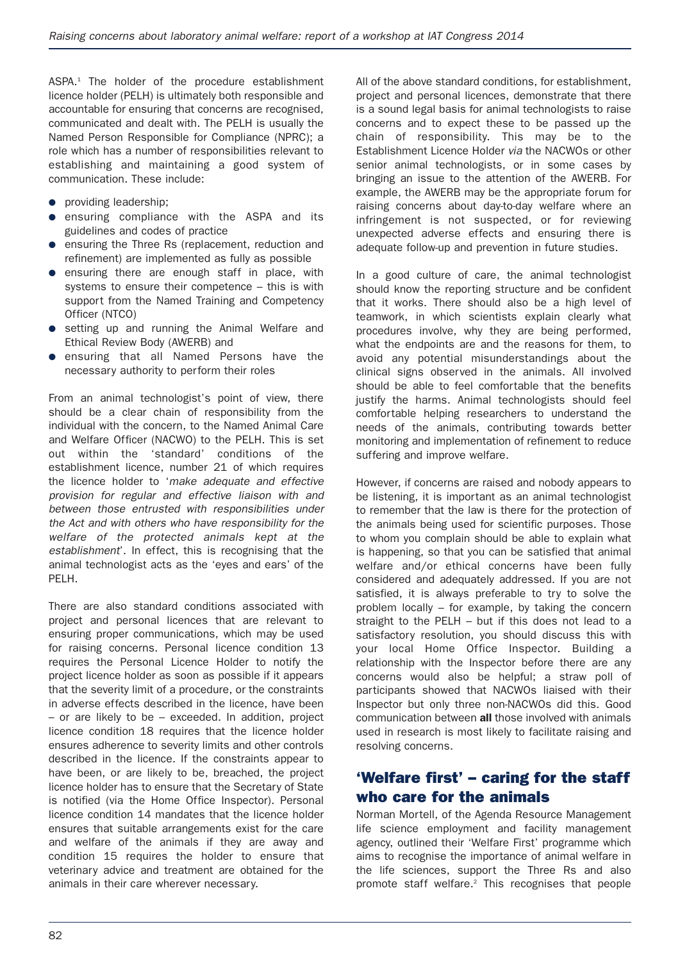ASPA. <sup>1</sup> The holder of the procedure establishment licence holder (PELH) is ultimately both responsible and accountable for ensuring that concerns are recognised, communicated and dealt with. The PELH is usually the Named Person Responsible for Compliance (NPRC); a role which has a number of responsibilities relevant to establishing and maintaining a good system of communication. These include:

- providing leadership;
- ensuring compliance with the ASPA and its guidelines and codes of practice
- ensuring the Three Rs (replacement, reduction and refinement) are implemented as fully as possible
- ensuring there are enough staff in place, with systems to ensure their competence – this is with support from the Named Training and Competency Officer (NTCO)
- setting up and running the Animal Welfare and Ethical Review Body (AWERB) and
- ensuring that all Named Persons have the necessary authority to perform their roles

From an animal technologist's point of view, there should be a clear chain of responsibility from the individual with the concern, to the Named Animal Care and Welfare Officer (NACWO) to the PELH. This is set out within the 'standard' conditions of the establishment licence, number 21 of which requires the licence holder to '*make adequate and effective provision for regular and effective liaison with and between those entrusted with responsibilities under the Act and with others who have responsibility for the welfare of the protected animals kept at the establishment*'. In effect, this is recognising that the animal technologist acts as the 'eyes and ears' of the PELH.

There are also standard conditions associated with project and personal licences that are relevant to ensuring proper communications, which may be used for raising concerns. Personal licence condition 13 requires the Personal Licence Holder to notify the project licence holder as soon as possible if it appears that the severity limit of a procedure, or the constraints in adverse effects described in the licence, have been – or are likely to be – exceeded. In addition, project licence condition 18 requires that the licence holder ensures adherence to severity limits and other controls described in the licence. If the constraints appear to have been, or are likely to be, breached, the project licence holder has to ensure that the Secretary of State is notified (via the Home Office Inspector). Personal licence condition 14 mandates that the licence holder ensures that suitable arrangements exist for the care and welfare of the animals if they are away and condition 15 requires the holder to ensure that veterinary advice and treatment are obtained for the animals in their care wherever necessary.

All of the above standard conditions, for establishment, project and personal licences, demonstrate that there is a sound legal basis for animal technologists to raise concerns and to expect these to be passed up the chain of responsibility. This may be to the Establishment Licence Holder *via* the NACWOs or other senior animal technologists, or in some cases by bringing an issue to the attention of the AWERB. For example, the AWERB may be the appropriate forum for raising concerns about day-to-day welfare where an infringement is not suspected, or for reviewing unexpected adverse effects and ensuring there is adequate follow-up and prevention in future studies.

In a good culture of care, the animal technologist should know the reporting structure and be confident that it works. There should also be a high level of teamwork, in which scientists explain clearly what procedures involve, why they are being performed, what the endpoints are and the reasons for them, to avoid any potential misunderstandings about the clinical signs observed in the animals. All involved should be able to feel comfortable that the benefits justify the harms. Animal technologists should feel comfortable helping researchers to understand the needs of the animals, contributing towards better monitoring and implementation of refinement to reduce suffering and improve welfare.

However, if concerns are raised and nobody appears to be listening, it is important as an animal technologist to remember that the law is there for the protection of the animals being used for scientific purposes. Those to whom you complain should be able to explain what is happening, so that you can be satisfied that animal welfare and/or ethical concerns have been fully considered and adequately addressed. If you are not satisfied, it is always preferable to try to solve the problem locally – for example, by taking the concern straight to the PELH – but if this does not lead to a satisfactory resolution, you should discuss this with your local Home Office Inspector. Building a relationship with the Inspector before there are any concerns would also be helpful; a straw poll of participants showed that NACWOs liaised with their Inspector but only three non-NACWOs did this. Good communication between **all** those involved with animals used in research is most likely to facilitate raising and resolving concerns.

# **'Welfare first' – caring for the staff who care for the animals**

Norman Mortell, of the Agenda Resource Management life science employment and facility management agency, outlined their 'Welfare First' programme which aims to recognise the importance of animal welfare in the life sciences, support the Three Rs and also promote staff welfare. <sup>2</sup> This recognises that people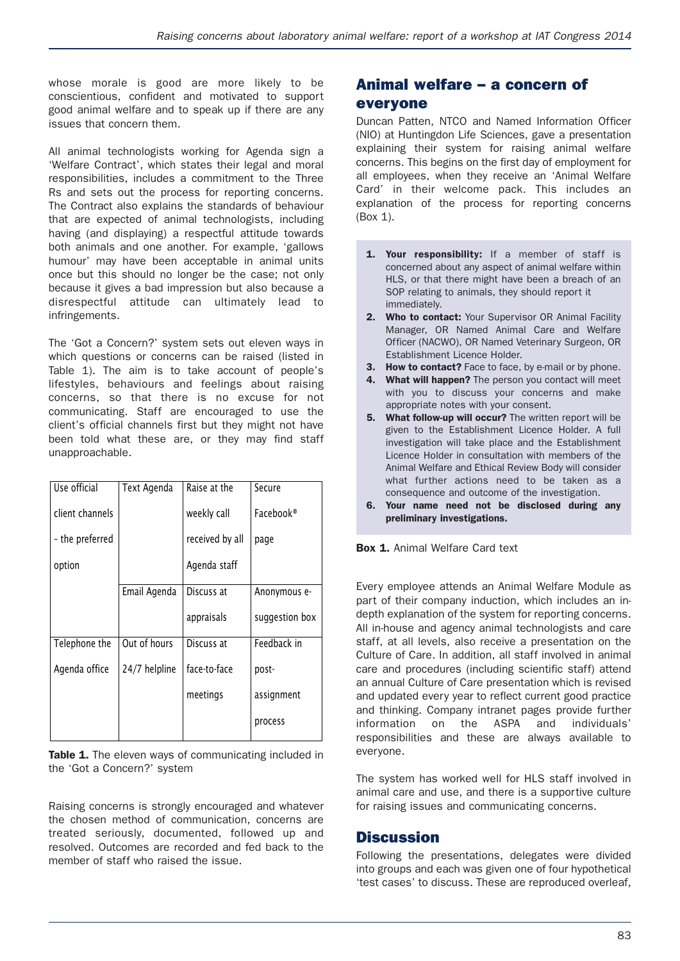whose morale is good are more likely to be conscientious, confident and motivated to support good animal welfare and to speak up if there are any issues that concern them.

All animal technologists working for Agenda sign a 'Welfare Contract', which states their legal and moral responsibilities, includes a commitment to the Three Rs and sets out the process for reporting concerns. The Contract also explains the standards of behaviour that are expected of animal technologists, including having (and displaying) a respectful attitude towards both animals and one another. For example, 'gallows humour' may have been acceptable in animal units once but this should no longer be the case; not only because it gives a bad impression but also because a disrespectful attitude can ultimately lead to infringements.

The 'Got a Concern?' system sets out eleven ways in which questions or concerns can be raised (listed in Table 1). The aim is to take account of people's lifestyles, behaviours and feelings about raising concerns, so that there is no excuse for not communicating. Staff are encouraged to use the client's official channels first but they might not have been told what these are, or they may find staff unapproachable.

| Use official    | Text Agenda   | Raise at the    | Secure         |
|-----------------|---------------|-----------------|----------------|
| client channels |               | weekly call     | Facebook®      |
| - the preferred |               | received by all | page           |
| option          |               | Agenda staff    |                |
|                 | Email Agenda  | Discuss at      | Anonymous e-   |
|                 |               | appraisals      | suggestion box |
| Telephone the   | Out of hours  | Discuss at      | Feedback in    |
| Agenda office   | 24/7 helpline | face-to-face    | post-          |
|                 |               | meetings        | assignment     |
|                 |               |                 | process        |

**Table 1.** The eleven ways of communicating included in the 'Got a Concern?' system

Raising concerns is strongly encouraged and whatever the chosen method of communication, concerns are treated seriously, documented, followed up and resolved. Outcomes are recorded and fed back to the member of staff who raised the issue.

# **Animal welfare – a concern of everyone**

Duncan Patten, NTCO and Named Information Officer (NIO) at Huntingdon Life Sciences, gave a presentation explaining their system for raising animal welfare concerns. This begins on the first day of employment for all employees, when they receive an 'Animal Welfare Card' in their welcome pack. This includes an explanation of the process for reporting concerns (Box 1).

- **1. Your responsibility:** If a member of staff is concerned about any aspect of animal welfare within HLS, or that there might have been a breach of an SOP relating to animals, they should report it immediately.
- **2. Who to contact:** Your Supervisor OR Animal Facility Manager, OR Named Animal Care and Welfare Officer (NACWO), OR Named Veterinary Surgeon, OR Establishment Licence Holder.
- **3. How to contact?** Face to face, by e-mail or by phone.
- **4. What will happen?** The person you contact will meet with you to discuss your concerns and make appropriate notes with your consent.
- **5. What follow-up will occur?** The written report will be given to the Establishment Licence Holder. A full investigation will take place and the Establishment Licence Holder in consultation with members of the Animal Welfare and Ethical Review Body will consider what further actions need to be taken as a consequence and outcome of the investigation.
- **6. Your name need not be disclosed during any preliminary investigations.**

**Box 1.** Animal Welfare Card text

Every employee attends an Animal Welfare Module as part of their company induction, which includes an indepth explanation of the system for reporting concerns. All in-house and agency animal technologists and care staff, at all levels, also receive a presentation on the Culture of Care. In addition, all staff involved in animal care and procedures (including scientific staff) attend an annual Culture of Care presentation which is revised and updated every year to reflect current good practice and thinking. Company intranet pages provide further information on the ASPA and individuals' responsibilities and these are always available to everyone.

The system has worked well for HLS staff involved in animal care and use, and there is a supportive culture for raising issues and communicating concerns.

## **Discussion**

Following the presentations, delegates were divided into groups and each was given one of four hypothetical 'test cases' to discuss. These are reproduced overleaf,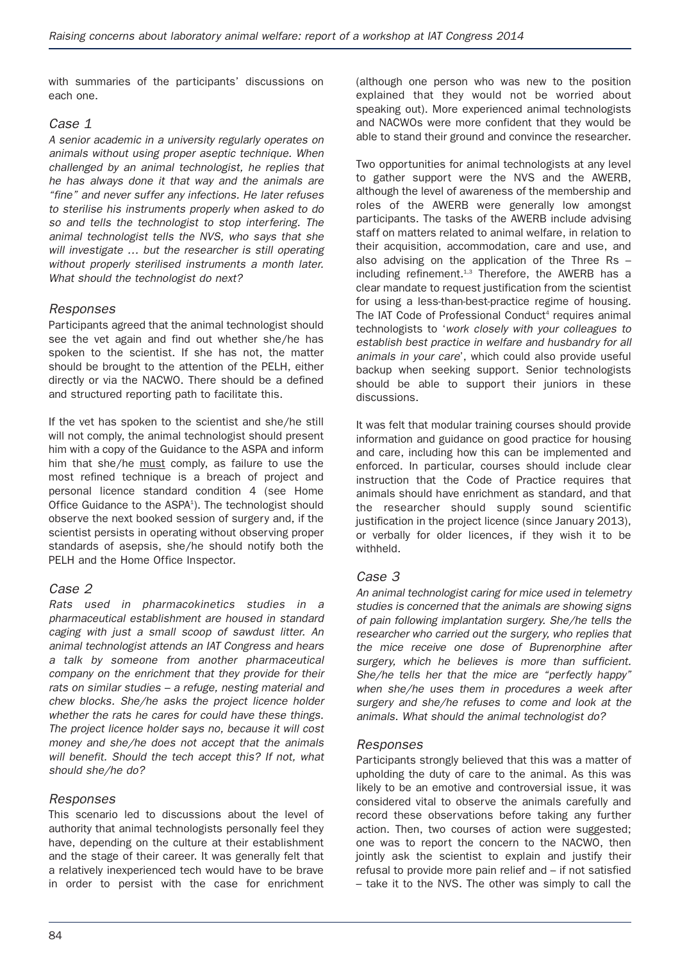with summaries of the participants' discussions on each one.

## *Case 1*

*A senior academic in a university regularly operates on animals without using proper aseptic technique. When challenged by an animal technologist, he replies that he has always done it that way and the animals are "fine" and never suffer any infections. He later refuses to sterilise his instruments properly when asked to do so and tells the technologist to stop interfering. The animal technologist tells the NVS, who says that she will investigate … but the researcher is still operating without properly sterilised instruments a month later. What should the technologist do next?*

#### *Responses*

Participants agreed that the animal technologist should see the vet again and find out whether she/he has spoken to the scientist. If she has not, the matter should be brought to the attention of the PELH, either directly or via the NACWO. There should be a defined and structured reporting path to facilitate this.

If the vet has spoken to the scientist and she/he still will not comply, the animal technologist should present him with a copy of the Guidance to the ASPA and inform him that she/he must comply, as failure to use the most refined technique is a breach of project and personal licence standard condition 4 (see Home Office Guidance to the ASPA<sup>1</sup>). The technologist should observe the next booked session of surgery and, if the scientist persists in operating without observing proper standards of asepsis, she/he should notify both the PELH and the Home Office Inspector.

## *Case 2*

*Rats used in pharmacokinetics studies in a pharmaceutical establishment are housed in standard caging with just a small scoop of sawdust litter. An animal technologist attends an IAT Congress and hears a talk by someone from another pharmaceutical company on the enrichment that they provide for their rats on similar studies – a refuge, nesting material and chew blocks. She/he asks the project licence holder whether the rats he cares for could have these things. The project licence holder says no, because it will cost money and she/he does not accept that the animals will benefit. Should the tech accept this? If not, what should she/he do?*

#### *Responses*

This scenario led to discussions about the level of authority that animal technologists personally feel they have, depending on the culture at their establishment and the stage of their career. It was generally felt that a relatively inexperienced tech would have to be brave in order to persist with the case for enrichment (although one person who was new to the position explained that they would not be worried about speaking out). More experienced animal technologists and NACWOs were more confident that they would be able to stand their ground and convince the researcher.

Two opportunities for animal technologists at any level to gather support were the NVS and the AWERB, although the level of awareness of the membership and roles of the AWERB were generally low amongst participants. The tasks of the AWERB include advising staff on matters related to animal welfare, in relation to their acquisition, accommodation, care and use, and also advising on the application of the Three Rs – including refinement.<sup>1,3</sup> Therefore, the AWERB has a clear mandate to request justification from the scientist for using a less-than-best-practice regime of housing. The IAT Code of Professional Conduct<sup>4</sup> requires animal technologists to '*work closely with your colleagues to establish best practice in welfare and husbandry for all animals in your care*', which could also provide useful backup when seeking support. Senior technologists should be able to support their juniors in these discussions.

It was felt that modular training courses should provide information and guidance on good practice for housing and care, including how this can be implemented and enforced. In particular, courses should include clear instruction that the Code of Practice requires that animals should have enrichment as standard, and that the researcher should supply sound scientific justification in the project licence (since January 2013), or verbally for older licences, if they wish it to be withheld.

#### *Case 3*

*An animal technologist caring for mice used in telemetry studies is concerned that the animals are showing signs of pain following implantation surgery. She/he tells the researcher who carried out the surgery, who replies that the mice receive one dose of Buprenorphine after surgery, which he believes is more than sufficient. She/he tells her that the mice are "perfectly happy" when she/he uses them in procedures a week after surgery and she/he refuses to come and look at the animals. What should the animal technologist do?*

#### *Responses*

Participants strongly believed that this was a matter of upholding the duty of care to the animal. As this was likely to be an emotive and controversial issue, it was considered vital to observe the animals carefully and record these observations before taking any further action. Then, two courses of action were suggested; one was to report the concern to the NACWO, then jointly ask the scientist to explain and justify their refusal to provide more pain relief and – if not satisfied – take it to the NVS. The other was simply to call the